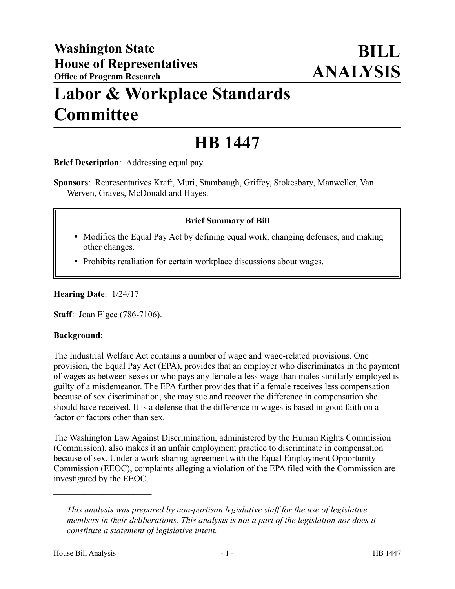# **Labor & Workplace Standards Committee**

## **HB 1447**

**Brief Description**: Addressing equal pay.

**Sponsors**: Representatives Kraft, Muri, Stambaugh, Griffey, Stokesbary, Manweller, Van Werven, Graves, McDonald and Hayes.

## **Brief Summary of Bill**

- Modifies the Equal Pay Act by defining equal work, changing defenses, and making other changes.
- Prohibits retaliation for certain workplace discussions about wages.

**Hearing Date**: 1/24/17

**Staff**: Joan Elgee (786-7106).

#### **Background**:

The Industrial Welfare Act contains a number of wage and wage-related provisions. One provision, the Equal Pay Act (EPA), provides that an employer who discriminates in the payment of wages as between sexes or who pays any female a less wage than males similarly employed is guilty of a misdemeanor. The EPA further provides that if a female receives less compensation because of sex discrimination, she may sue and recover the difference in compensation she should have received. It is a defense that the difference in wages is based in good faith on a factor or factors other than sex.

The Washington Law Against Discrimination, administered by the Human Rights Commission (Commission), also makes it an unfair employment practice to discriminate in compensation because of sex. Under a work-sharing agreement with the Equal Employment Opportunity Commission (EEOC), complaints alleging a violation of the EPA filed with the Commission are investigated by the EEOC.

––––––––––––––––––––––

*This analysis was prepared by non-partisan legislative staff for the use of legislative members in their deliberations. This analysis is not a part of the legislation nor does it constitute a statement of legislative intent.*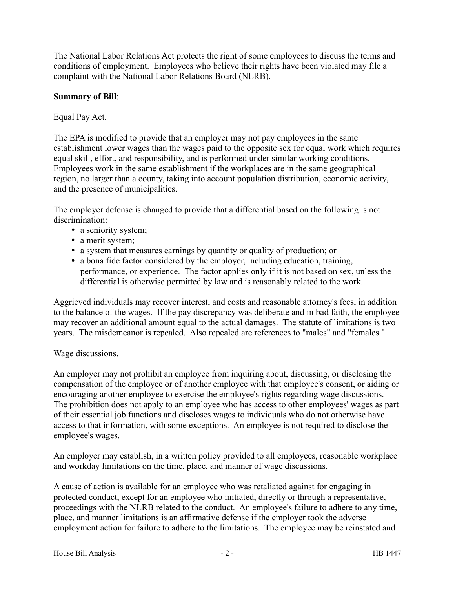The National Labor Relations Act protects the right of some employees to discuss the terms and conditions of employment. Employees who believe their rights have been violated may file a complaint with the National Labor Relations Board (NLRB).

### **Summary of Bill**:

#### Equal Pay Act.

The EPA is modified to provide that an employer may not pay employees in the same establishment lower wages than the wages paid to the opposite sex for equal work which requires equal skill, effort, and responsibility, and is performed under similar working conditions. Employees work in the same establishment if the workplaces are in the same geographical region, no larger than a county, taking into account population distribution, economic activity, and the presence of municipalities.

The employer defense is changed to provide that a differential based on the following is not discrimination:

- a seniority system;
- a merit system;
- a system that measures earnings by quantity or quality of production; or
- a bona fide factor considered by the employer, including education, training, performance, or experience. The factor applies only if it is not based on sex, unless the differential is otherwise permitted by law and is reasonably related to the work.

Aggrieved individuals may recover interest, and costs and reasonable attorney's fees, in addition to the balance of the wages. If the pay discrepancy was deliberate and in bad faith, the employee may recover an additional amount equal to the actual damages. The statute of limitations is two years. The misdemeanor is repealed. Also repealed are references to "males" and "females."

#### Wage discussions.

An employer may not prohibit an employee from inquiring about, discussing, or disclosing the compensation of the employee or of another employee with that employee's consent, or aiding or encouraging another employee to exercise the employee's rights regarding wage discussions. The prohibition does not apply to an employee who has access to other employees' wages as part of their essential job functions and discloses wages to individuals who do not otherwise have access to that information, with some exceptions. An employee is not required to disclose the employee's wages.

An employer may establish, in a written policy provided to all employees, reasonable workplace and workday limitations on the time, place, and manner of wage discussions.

A cause of action is available for an employee who was retaliated against for engaging in protected conduct, except for an employee who initiated, directly or through a representative, proceedings with the NLRB related to the conduct. An employee's failure to adhere to any time, place, and manner limitations is an affirmative defense if the employer took the adverse employment action for failure to adhere to the limitations. The employee may be reinstated and